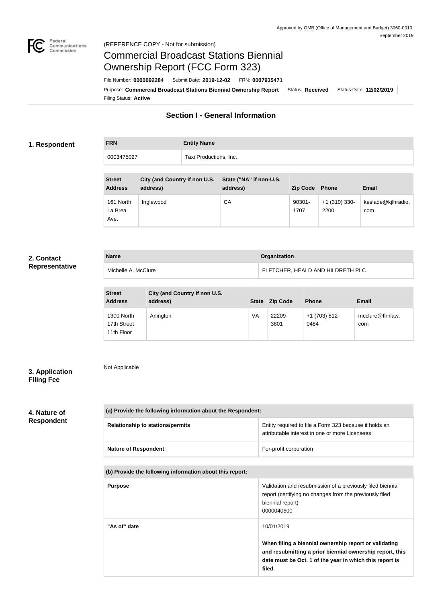

### Federal<br>Communications<br>Commission (REFERENCE COPY - Not for submission)

# Commercial Broadcast Stations Biennial Ownership Report (FCC Form 323)

Filing Status: **Active** Purpose: Commercial Broadcast Stations Biennial Ownership Report Status: Received Status Date: 12/02/2019 File Number: **0000092284** Submit Date: **2019-12-02** FRN: **0007935471**

# **Section I - General Information**

### **1. Respondent**

**FRN Entity Name** 0003475027 Taxi Productions, Inc.

| <b>Street</b><br><b>Address</b> | City (and Country if non U.S.<br>address) | State ("NA" if non-U.S.<br>address) | Zip Code Phone    |                       | <b>Email</b>              |
|---------------------------------|-------------------------------------------|-------------------------------------|-------------------|-----------------------|---------------------------|
| 161 North<br>La Brea<br>Ave.    | Inglewood                                 | СA                                  | $90301 -$<br>1707 | +1 (310) 330-<br>2200 | keslade@kjlhradio.<br>com |

### **2. Contact Representative**

| <b>Name</b>         | Organization                     |
|---------------------|----------------------------------|
| Michelle A. McClure | FLETCHER, HEALD AND HILDRETH PLC |

| <b>Street</b><br><b>Address</b>         | City (and Country if non U.S.<br>address) | <b>State</b> | <b>Zip Code</b> | <b>Phone</b>          | <b>Email</b>           |
|-----------------------------------------|-------------------------------------------|--------------|-----------------|-----------------------|------------------------|
| 1300 North<br>17th Street<br>11th Floor | Arlington                                 | VA           | 22209-<br>3801  | +1 (703) 812-<br>0484 | mcclure@fhhlaw.<br>com |

# **3. Application Filing Fee**

Not Applicable

# **4. Nature of Respondent**

| (a) Provide the following information about the Respondent: |  |                                                                                                          |
|-------------------------------------------------------------|--|----------------------------------------------------------------------------------------------------------|
| <b>Relationship to stations/permits</b>                     |  | Entity required to file a Form 323 because it holds an<br>attributable interest in one or more Licensees |
| <b>Nature of Respondent</b>                                 |  | For-profit corporation                                                                                   |

**(b) Provide the following information about this report:**

| <b>Purpose</b> | Validation and resubmission of a previously filed biennial<br>report (certifying no changes from the previously filed<br>biennial report)<br>0000040600                                              |
|----------------|------------------------------------------------------------------------------------------------------------------------------------------------------------------------------------------------------|
| "As of" date   | 10/01/2019<br>When filing a biennial ownership report or validating<br>and resubmitting a prior biennial ownership report, this<br>date must be Oct. 1 of the year in which this report is<br>filed. |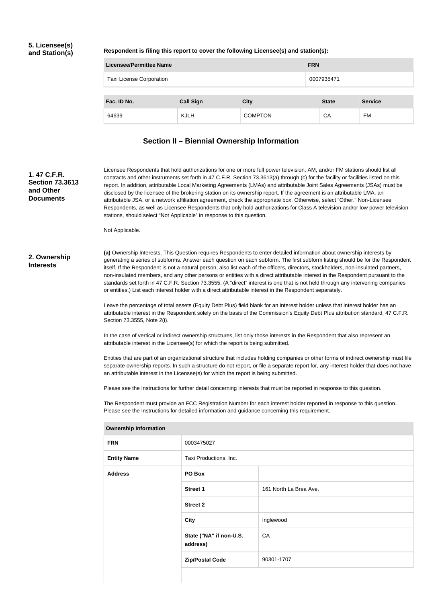### **5. Licensee(s) and Station(s)**

**Respondent is filing this report to cover the following Licensee(s) and station(s):**

| Licensee/Permittee Name  |                  | <b>FRN</b>     |              |                |
|--------------------------|------------------|----------------|--------------|----------------|
| Taxi License Corporation |                  | 0007935471     |              |                |
| Fac. ID No.              | <b>Call Sign</b> | <b>City</b>    | <b>State</b> | <b>Service</b> |
| 64639                    | <b>KJLH</b>      | <b>COMPTON</b> | CA           | FM             |

### **Section II – Biennial Ownership Information**

**1. 47 C.F.R. Section 73.3613 and Other Documents**

Licensee Respondents that hold authorizations for one or more full power television, AM, and/or FM stations should list all contracts and other instruments set forth in 47 C.F.R. Section 73.3613(a) through (c) for the facility or facilities listed on this report. In addition, attributable Local Marketing Agreements (LMAs) and attributable Joint Sales Agreements (JSAs) must be disclosed by the licensee of the brokering station on its ownership report. If the agreement is an attributable LMA, an attributable JSA, or a network affiliation agreement, check the appropriate box. Otherwise, select "Other." Non-Licensee Respondents, as well as Licensee Respondents that only hold authorizations for Class A television and/or low power television stations, should select "Not Applicable" in response to this question.

Not Applicable.

#### **2. Ownership Interests**

**(a)** Ownership Interests. This Question requires Respondents to enter detailed information about ownership interests by generating a series of subforms. Answer each question on each subform. The first subform listing should be for the Respondent itself. If the Respondent is not a natural person, also list each of the officers, directors, stockholders, non-insulated partners, non-insulated members, and any other persons or entities with a direct attributable interest in the Respondent pursuant to the standards set forth in 47 C.F.R. Section 73.3555. (A "direct" interest is one that is not held through any intervening companies or entities.) List each interest holder with a direct attributable interest in the Respondent separately.

Leave the percentage of total assets (Equity Debt Plus) field blank for an interest holder unless that interest holder has an attributable interest in the Respondent solely on the basis of the Commission's Equity Debt Plus attribution standard, 47 C.F.R. Section 73.3555, Note 2(i).

In the case of vertical or indirect ownership structures, list only those interests in the Respondent that also represent an attributable interest in the Licensee(s) for which the report is being submitted.

Entities that are part of an organizational structure that includes holding companies or other forms of indirect ownership must file separate ownership reports. In such a structure do not report, or file a separate report for, any interest holder that does not have an attributable interest in the Licensee(s) for which the report is being submitted.

Please see the Instructions for further detail concerning interests that must be reported in response to this question.

The Respondent must provide an FCC Registration Number for each interest holder reported in response to this question. Please see the Instructions for detailed information and guidance concerning this requirement.

| <b>Ownership Information</b> |                                     |                        |  |
|------------------------------|-------------------------------------|------------------------|--|
| <b>FRN</b>                   | 0003475027                          |                        |  |
| <b>Entity Name</b>           | Taxi Productions, Inc.              |                        |  |
| <b>Address</b>               | PO Box                              |                        |  |
|                              | <b>Street 1</b>                     | 161 North La Brea Ave. |  |
|                              | <b>Street 2</b>                     |                        |  |
|                              | <b>City</b>                         | Inglewood              |  |
|                              | State ("NA" if non-U.S.<br>address) | CA                     |  |
|                              | <b>Zip/Postal Code</b>              | 90301-1707             |  |
|                              |                                     |                        |  |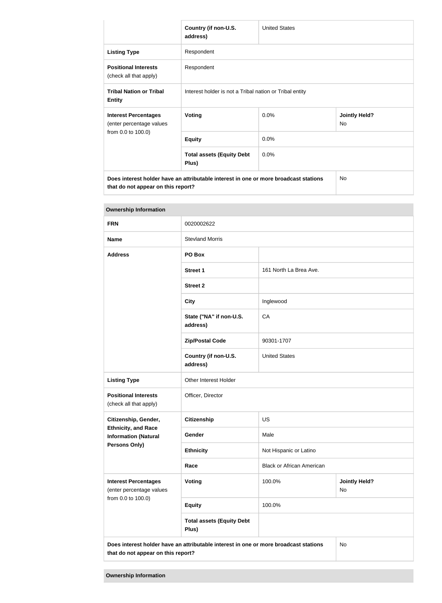|                                                                                      | Country (if non-U.S.<br>address)                        | <b>United States</b> |                                   |
|--------------------------------------------------------------------------------------|---------------------------------------------------------|----------------------|-----------------------------------|
| <b>Listing Type</b>                                                                  | Respondent                                              |                      |                                   |
| <b>Positional Interests</b><br>(check all that apply)                                | Respondent                                              |                      |                                   |
| <b>Tribal Nation or Tribal</b><br><b>Entity</b>                                      | Interest holder is not a Tribal nation or Tribal entity |                      |                                   |
| <b>Interest Percentages</b><br>(enter percentage values                              | Voting                                                  | 0.0%                 | <b>Jointly Held?</b><br><b>No</b> |
| from 0.0 to 100.0)                                                                   | <b>Equity</b>                                           | 0.0%                 |                                   |
|                                                                                      | <b>Total assets (Equity Debt</b><br>Plus)               | 0.0%                 |                                   |
| Does interest holder have an attributable interest in one or more broadcast stations |                                                         |                      | <b>No</b>                         |

**that do not appear on this report?**

| <b>Ownership Information</b>                              |                                                                                      |                                  |                                   |  |
|-----------------------------------------------------------|--------------------------------------------------------------------------------------|----------------------------------|-----------------------------------|--|
| <b>FRN</b>                                                | 0020002622                                                                           |                                  |                                   |  |
| <b>Name</b>                                               | <b>Stevland Morris</b>                                                               |                                  |                                   |  |
| <b>Address</b>                                            | PO Box                                                                               |                                  |                                   |  |
|                                                           | <b>Street 1</b>                                                                      | 161 North La Brea Ave.           |                                   |  |
|                                                           | <b>Street 2</b>                                                                      |                                  |                                   |  |
|                                                           | <b>City</b>                                                                          | Inglewood                        |                                   |  |
|                                                           | State ("NA" if non-U.S.<br>address)                                                  | CA                               |                                   |  |
|                                                           | <b>Zip/Postal Code</b>                                                               | 90301-1707                       |                                   |  |
|                                                           | Country (if non-U.S.<br>address)                                                     | <b>United States</b>             |                                   |  |
| <b>Listing Type</b>                                       | Other Interest Holder                                                                |                                  |                                   |  |
| <b>Positional Interests</b><br>(check all that apply)     | Officer, Director                                                                    |                                  |                                   |  |
| Citizenship, Gender,                                      | <b>Citizenship</b>                                                                   | <b>US</b>                        |                                   |  |
| <b>Ethnicity, and Race</b><br><b>Information (Natural</b> | Gender                                                                               | Male                             |                                   |  |
| Persons Only)                                             | <b>Ethnicity</b>                                                                     | Not Hispanic or Latino           |                                   |  |
|                                                           | Race                                                                                 | <b>Black or African American</b> |                                   |  |
| <b>Interest Percentages</b><br>(enter percentage values   | Voting                                                                               | 100.0%                           | <b>Jointly Held?</b><br><b>No</b> |  |
| from 0.0 to 100.0)                                        | <b>Equity</b>                                                                        | 100.0%                           |                                   |  |
|                                                           | <b>Total assets (Equity Debt</b><br>Plus)                                            |                                  |                                   |  |
| that do not appear on this report?                        | Does interest holder have an attributable interest in one or more broadcast stations |                                  | No                                |  |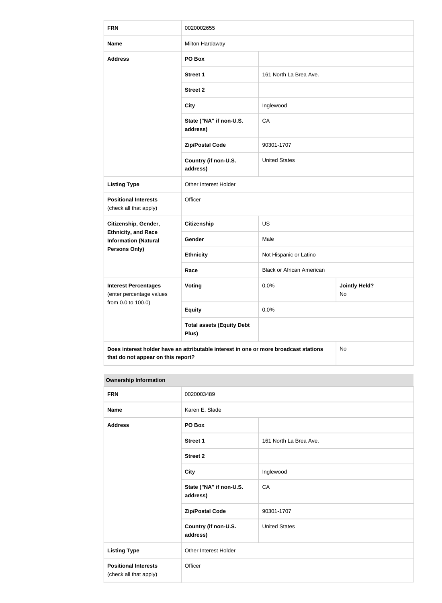| <b>FRN</b>                                                | 0020002655                                                                           |                                  |                            |
|-----------------------------------------------------------|--------------------------------------------------------------------------------------|----------------------------------|----------------------------|
| <b>Name</b>                                               | Milton Hardaway                                                                      |                                  |                            |
| <b>Address</b>                                            | PO Box                                                                               |                                  |                            |
|                                                           | <b>Street 1</b>                                                                      | 161 North La Brea Ave.           |                            |
|                                                           | <b>Street 2</b>                                                                      |                                  |                            |
|                                                           | <b>City</b>                                                                          | Inglewood                        |                            |
|                                                           | State ("NA" if non-U.S.<br>address)                                                  | CA                               |                            |
|                                                           | <b>Zip/Postal Code</b>                                                               | 90301-1707                       |                            |
|                                                           | Country (if non-U.S.<br>address)                                                     | <b>United States</b>             |                            |
| <b>Listing Type</b>                                       | Other Interest Holder                                                                |                                  |                            |
| <b>Positional Interests</b><br>(check all that apply)     | Officer                                                                              |                                  |                            |
| Citizenship, Gender,                                      | <b>Citizenship</b>                                                                   | <b>US</b>                        |                            |
| <b>Ethnicity, and Race</b><br><b>Information (Natural</b> | Gender                                                                               | Male                             |                            |
| <b>Persons Only)</b>                                      | <b>Ethnicity</b>                                                                     | Not Hispanic or Latino           |                            |
|                                                           | Race                                                                                 | <b>Black or African American</b> |                            |
| <b>Interest Percentages</b><br>(enter percentage values   | Voting                                                                               | 0.0%                             | <b>Jointly Held?</b><br>No |
| from 0.0 to 100.0)                                        | <b>Equity</b>                                                                        | 0.0%                             |                            |
|                                                           | <b>Total assets (Equity Debt</b><br>Plus)                                            |                                  |                            |
| that do not appear on this report?                        | Does interest holder have an attributable interest in one or more broadcast stations |                                  | No                         |

#### **Ownership Information**

| <b>FRN</b>                                            | 0020003489                          |                        |
|-------------------------------------------------------|-------------------------------------|------------------------|
| <b>Name</b>                                           | Karen E. Slade                      |                        |
| <b>Address</b>                                        | PO Box                              |                        |
|                                                       | <b>Street 1</b>                     | 161 North La Brea Ave. |
|                                                       | <b>Street 2</b>                     |                        |
|                                                       | <b>City</b>                         | Inglewood              |
|                                                       | State ("NA" if non-U.S.<br>address) | CA                     |
|                                                       | <b>Zip/Postal Code</b>              | 90301-1707             |
|                                                       | Country (if non-U.S.<br>address)    | <b>United States</b>   |
| <b>Listing Type</b>                                   | Other Interest Holder               |                        |
| <b>Positional Interests</b><br>(check all that apply) | Officer                             |                        |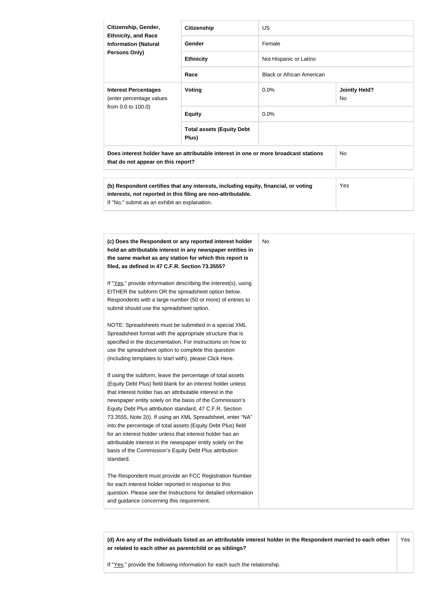| Citizenship, Gender,<br><b>Ethnicity, and Race</b>                                                                         | <b>Citizenship</b>                        | US.                              |                             |
|----------------------------------------------------------------------------------------------------------------------------|-------------------------------------------|----------------------------------|-----------------------------|
| <b>Information (Natural</b>                                                                                                | Gender                                    | Female                           |                             |
| Persons Only)                                                                                                              | <b>Ethnicity</b>                          | Not Hispanic or Latino           |                             |
|                                                                                                                            | Race                                      | <b>Black or African American</b> |                             |
| <b>Interest Percentages</b><br>(enter percentage values                                                                    | Voting                                    | 0.0%                             | <b>Jointly Held?</b><br>No. |
| from 0.0 to 100.0)                                                                                                         | <b>Equity</b>                             | 0.0%                             |                             |
|                                                                                                                            | <b>Total assets (Equity Debt</b><br>Plus) |                                  |                             |
| Does interest holder have an attributable interest in one or more broadcast stations<br>that do not appear on this report? |                                           |                                  | <b>No</b>                   |
|                                                                                                                            |                                           |                                  |                             |

| (b) Respondent certifies that any interests, including equity, financial, or voting | Yes |
|-------------------------------------------------------------------------------------|-----|
| interests, not reported in this filing are non-attributable.                        |     |
| If "No," submit as an exhibit an explanation.                                       |     |

| (c) Does the Respondent or any reported interest holder         | No |
|-----------------------------------------------------------------|----|
| hold an attributable interest in any newspaper entities in      |    |
| the same market as any station for which this report is         |    |
| filed, as defined in 47 C.F.R. Section 73.3555?                 |    |
| If "Yes," provide information describing the interest(s), using |    |
| EITHER the subform OR the spreadsheet option below.             |    |
| Respondents with a large number (50 or more) of entries to      |    |
| submit should use the spreadsheet option.                       |    |
| NOTE: Spreadsheets must be submitted in a special XML           |    |
| Spreadsheet format with the appropriate structure that is       |    |
| specified in the documentation. For instructions on how to      |    |
| use the spreadsheet option to complete this question            |    |
| (including templates to start with), please Click Here.         |    |
| If using the subform, leave the percentage of total assets      |    |
| (Equity Debt Plus) field blank for an interest holder unless    |    |
| that interest holder has an attributable interest in the        |    |
| newspaper entity solely on the basis of the Commission's        |    |
| Equity Debt Plus attribution standard, 47 C.F.R. Section        |    |
| 73.3555, Note 2(i). If using an XML Spreadsheet, enter "NA"     |    |
| into the percentage of total assets (Equity Debt Plus) field    |    |
| for an interest holder unless that interest holder has an       |    |
| attributable interest in the newspaper entity solely on the     |    |
| basis of the Commission's Equity Debt Plus attribution          |    |
| standard.                                                       |    |
| The Respondent must provide an FCC Registration Number          |    |
| for each interest holder reported in response to this           |    |
| question. Please see the Instructions for detailed information  |    |
| and guidance concerning this requirement.                       |    |

**(d) Are any of the individuals listed as an attributable interest holder in the Respondent married to each other or related to each other as parentchild or as siblings?** Yes

If "Yes," provide the following information for each such the relationship.